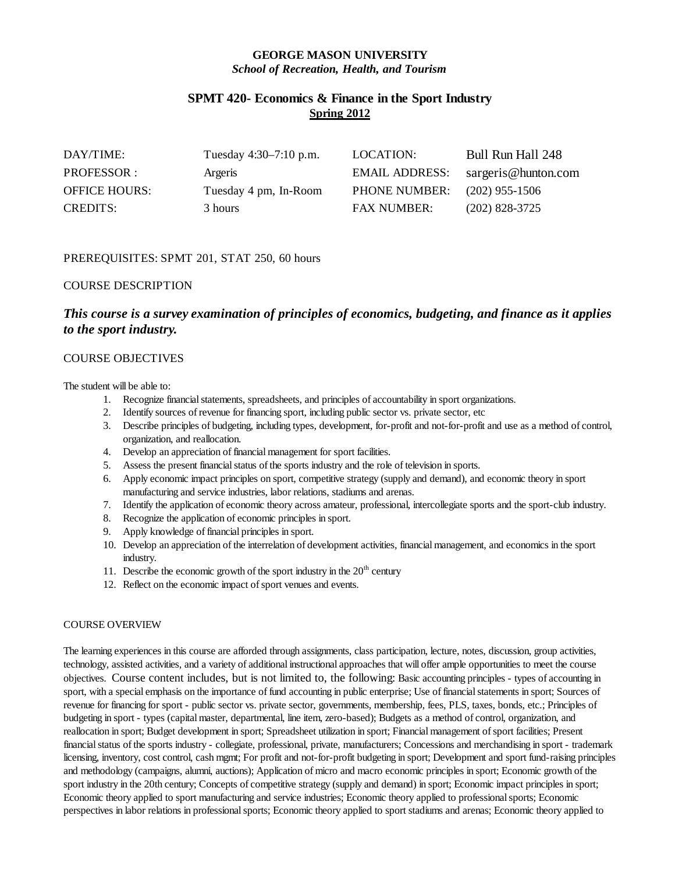# **GEORGE MASON UNIVERSITY** *School of Recreation, Health, and Tourism*

# **SPMT 420- Economics & Finance in the Sport Industry Spring 2012**

| DAY/TIME:            | Tuesday 4:30–7:10 p.m. | LOCATION:             | Bull Run Hall 248   |
|----------------------|------------------------|-----------------------|---------------------|
| PROFESSOR:           | Argeris                | <b>EMAIL ADDRESS:</b> | sargeris@hunton.com |
| <b>OFFICE HOURS:</b> | Tuesday 4 pm, In-Room  | <b>PHONE NUMBER:</b>  | $(202)$ 955-1506    |
| <b>CREDITS:</b>      | 3 hours                | <b>FAX NUMBER:</b>    | $(202)$ 828-3725    |

# PREREQUISITES: SPMT 201, STAT 250, 60 hours

## COURSE DESCRIPTION

# *This course is a survey examination of principles of economics, budgeting, and finance as it applies to the sport industry.*

# COURSE OBJECTIVES

The student will be able to:

- 1. Recognize financial statements, spreadsheets, and principles of accountability in sport organizations.
- 2. Identify sources of revenue for financing sport, including public sector vs. private sector, etc
- 3. Describe principles of budgeting, including types, development, for-profit and not-for-profit and use as a method of control, organization, and reallocation.
- 4. Develop an appreciation of financial management for sport facilities.
- 5. Assess the present financial status of the sports industry and the role of television in sports.
- 6. Apply economic impact principles on sport, competitive strategy (supply and demand), and economic theory in sport manufacturing and service industries, labor relations, stadiums and arenas.
- 7. Identify the application of economic theory across amateur, professional, intercollegiate sports and the sport-club industry.
- 8. Recognize the application of economic principles in sport.
- 9. Apply knowledge of financial principles in sport.
- 10. Develop an appreciation of the interrelation of development activities, financial management, and economics in the sport industry.
- 11. Describe the economic growth of the sport industry in the  $20<sup>th</sup>$  century
- 12. Reflect on the economic impact of sport venues and events.

# COURSE OVERVIEW

The learning experiences in this course are afforded through assignments, class participation, lecture, notes, discussion, group activities, technology, assisted activities, and a variety of additional instructional approaches that will offer ample opportunities to meet the course objectives. Course content includes, but is not limited to, the following: Basic accounting principles - types of accounting in sport, with a special emphasis on the importance of fund accounting in public enterprise; Use of financial statements in sport; Sources of revenue for financing for sport - public sector vs. private sector, governments, membership, fees, PLS, taxes, bonds, etc.; Principles of budgeting in sport - types (capital master, departmental, line item, zero-based); Budgets as a method of control, organization, and reallocation in sport; Budget development in sport; Spreadsheet utilization in sport; Financial management of sport facilities; Present financial status of the sports industry - collegiate, professional, private, manufacturers; Concessions and merchandising in sport - trademark licensing, inventory, cost control, cash mgmt; For profit and not-for-profit budgeting in sport; Development and sport fund-raising principles and methodology (campaigns, alumni, auctions); Application of micro and macro economic principles in sport; Economic growth of the sport industry in the 20th century; Concepts of competitive strategy (supply and demand) in sport; Economic impact principles in sport; Economic theory applied to sport manufacturing and service industries; Economic theory applied to professional sports; Economic perspectives in labor relations in professional sports; Economic theory applied to sport stadiums and arenas; Economic theory applied to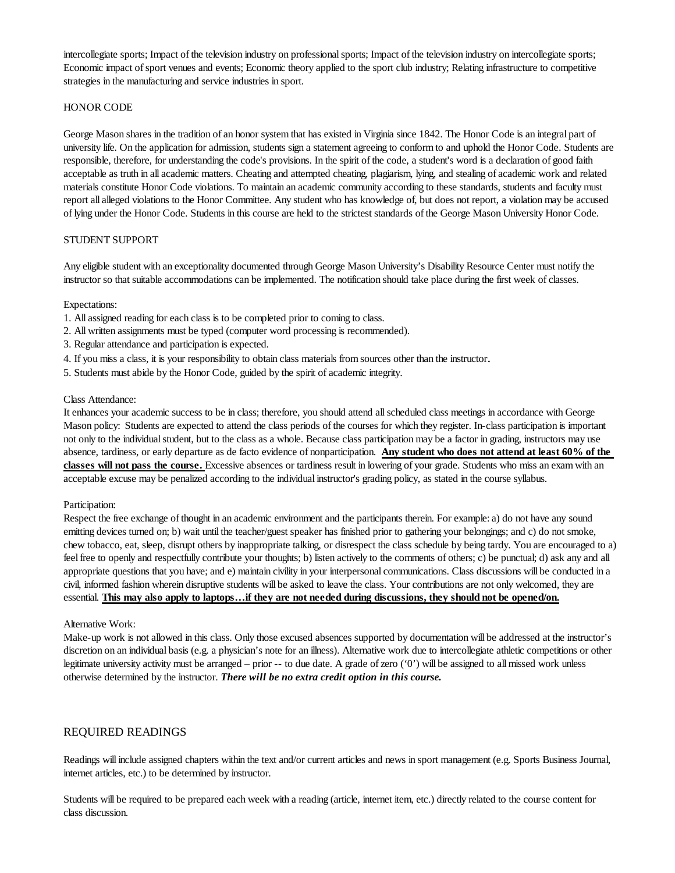intercollegiate sports; Impact of the television industry on professional sports; Impact of the television industry on intercollegiate sports; Economic impact of sport venues and events; Economic theory applied to the sport club industry; Relating infrastructure to competitive strategies in the manufacturing and service industries in sport.

## HONOR CODE

George Mason shares in the tradition of an honor system that has existed in Virginia since 1842. The Honor Code is an integral part of university life. On the application for admission, students sign a statement agreeing to conform to and uphold the Honor Code. Students are responsible, therefore, for understanding the code's provisions. In the spirit of the code, a student's word is a declaration of good faith acceptable as truth in all academic matters. Cheating and attempted cheating, plagiarism, lying, and stealing of academic work and related materials constitute Honor Code violations. To maintain an academic community according to these standards, students and faculty must report all alleged violations to the Honor Committee. Any student who has knowledge of, but does not report, a violation may be accused of lying under the Honor Code. Students in this course are held to the strictest standards of the George Mason University Honor Code.

## STUDENT SUPPORT

Any eligible student with an exceptionality documented through George Mason University's Disability Resource Center must notify the instructor so that suitable accommodations can be implemented. The notification should take place during the first week of classes.

#### Expectations:

- 1. All assigned reading for each class is to be completed prior to coming to class.
- 2. All written assignments must be typed (computer word processing is recommended).
- 3. Regular attendance and participation is expected.
- 4. If you miss a class, it is your responsibility to obtain class materials from sources other than the instructor.
- 5. Students must abide by the Honor Code, guided by the spirit of academic integrity.

#### Class Attendance:

It enhances your academic success to be in class; therefore, you should attend allscheduled class meetings in accordance with George Mason policy: Students are expected to attend the class periods of the courses for which they register. In-class participation is important not only to the individual student, but to the class as a whole. Because class participation may be a factor in grading, instructors may use absence, tardiness, or early departure as de facto evidence of nonparticipation. **Any student who does not attend at least 60% of the classes will not pass the course.** Excessive absences or tardiness result in lowering of your grade. Students who miss an exam with an acceptable excuse may be penalized according to the individual instructor's grading policy, as stated in the course syllabus.

#### Participation:

Respect the free exchange of thought in an academic environment and the participants therein. For example: a) do not have any sound emitting devices turned on; b) wait until the teacher/guest speaker has finished prior to gathering your belongings; and c) do not smoke, chew tobacco, eat, sleep, disrupt others by inappropriate talking, or disrespect the class schedule by being tardy. You are encouraged to a) feel free to openly and respectfully contribute your thoughts; b) listen actively to the comments of others; c) be punctual; d) ask any and all appropriate questions that you have; and e) maintain civility in your interpersonal communications. Class discussions will be conducted in a civil, informed fashion wherein disruptive students will be asked to leave the class. Your contributions are not only welcomed, they are essential. **This may also apply to laptops…if they are not needed during discussions, they should not be opened/on.**

#### Alternative Work:

Make-up work is not allowed in this class. Only those excused absences supported by documentation will be addressed at the instructor's discretion on an individual basis (e.g. a physician's note for an illness). Alternative work due to intercollegiate athletic competitions or other legitimate university activity must be arranged – prior -- to due date. A grade of zero ('0') will be assigned to all missed work unless otherwise determined by the instructor. *There will be no extra credit option in this course.*

## REQUIRED READINGS

Readings will include assigned chapters within the text and/or current articles and news in sport management (e.g. Sports Business Journal, internet articles, etc.) to be determined by instructor.

Students will be required to be prepared each week with a reading (article, internet item, etc.) directly related to the course content for class discussion.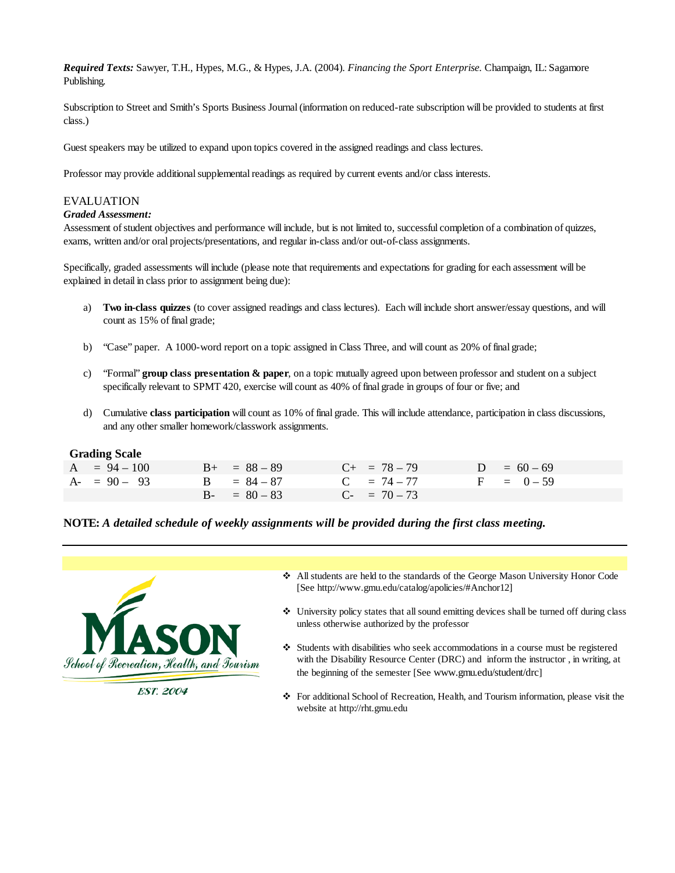*Required Texts:* Sawyer, T.H., Hypes, M.G., & Hypes, J.A. (2004). *Financing the Sport Enterprise.* Champaign, IL: Sagamore Publishing.

Subscription to Street and Smith's Sports Business Journal (information on reduced-rate subscription will be provided to students at first class.)

Guest speakers may be utilized to expand upon topics covered in the assigned readings and class lectures.

Professor may provide additional supplemental readings as required by current events and/or class interests.

# EVALUATION

### *Graded Assessment:*

Assessment of student objectives and performance will include, but is not limited to, successful completion of a combination of quizzes, exams, written and/or oral projects/presentations, and regular in-class and/or out-of-class assignments.

Specifically, graded assessments will include (please note that requirements and expectations for grading for each assessment will be explained in detail in class prior to assignment being due):

- a) **Two in-class quizzes** (to cover assigned readings and class lectures). Each will include short answer/essay questions, and will count as 15% of final grade;
- b) "Case" paper. A 1000-word report on a topic assigned in Class Three, and will count as 20% of final grade;
- c) "Formal" **group class presentation & paper**, on a topic mutually agreed upon between professor and student on a subject specifically relevant to SPMT 420, exercise will count as 40% of final grade in groups of four or five; and
- d) Cumulative **class participation** will count as 10% of final grade. This will include attendance, participation in class discussions, and any other smaller homework/classwork assignments.

## **Grading Scale**

| $A = 94 - 100$ | $B_{+}$ = 88 - 89 | $C_{+}$ = 78 – 79 | $D = 60 - 69$ |
|----------------|-------------------|-------------------|---------------|
| $A - 90 - 93$  | $B = 84 - 87$     | $C = 74 - 77$     | $F = 0 - 59$  |
|                | $B - = 80 - 83$   | $C_{-}$ = 70 – 73 |               |

## **NOTE:** *A detailed schedule of weekly assignments will be provided during the first class meeting.*



**EST. 2004** 

- All students are held to the standards of the George Mason University Honor Code [See http://www.gmu.edu/catalog/apolicies/#Anchor12]
- University policy states that all sound emitting devices shall be turned off during class unless otherwise authorized by the professor
- Students with disabilities who seek accommodations in a course must be registered with the Disability Resource Center (DRC) and inform the instructor , in writing, at the beginning of the semester [See www.gmu.edu/student/drc]
- For additional School of Recreation, Health, and Tourism information, please visit the website at http://rht.gmu.edu